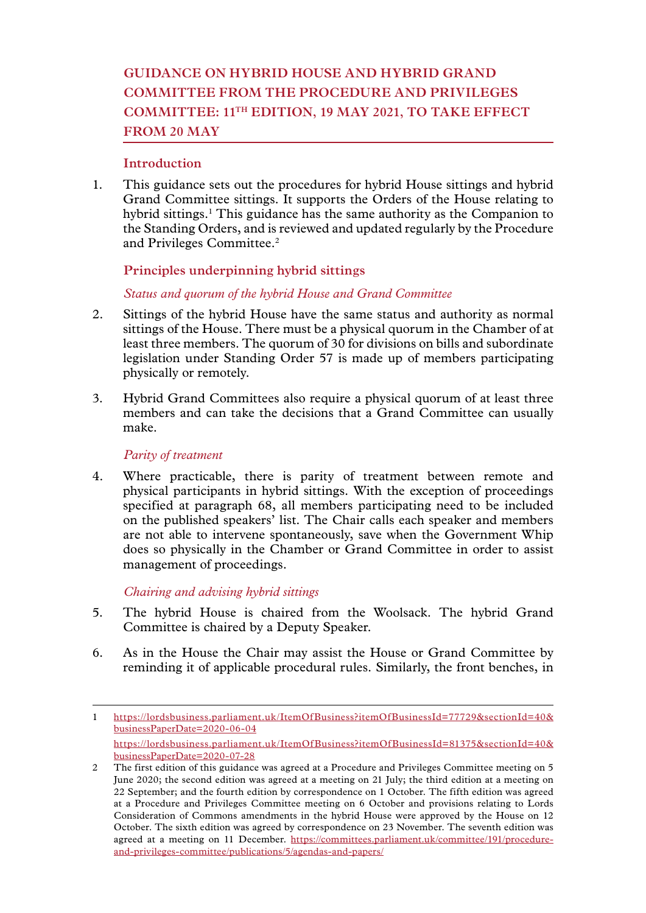# **GUIDANCE ON HYBRID HOUSE AND HYBRID GRAND COMMITTEE FROM THE PROCEDURE AND PRIVILEGES COMMITTEE: 11TH EDITION, 19 MAY 2021, TO TAKE EFFECT FROM 20 MAY**

## **Introduction**

1. This guidance sets out the procedures for hybrid House sittings and hybrid Grand Committee sittings. It supports the Orders of the House relating to hybrid sittings.<sup>1</sup> This guidance has the same authority as the Companion to the Standing Orders, and is reviewed and updated regularly by the Procedure and Privileges Committee.2

## **Principles underpinning hybrid sittings**

## *Status and quorum of the hybrid House and Grand Committee*

- 2. Sittings of the hybrid House have the same status and authority as normal sittings of the House. There must be a physical quorum in the Chamber of at least three members. The quorum of 30 for divisions on bills and subordinate legislation under Standing Order 57 is made up of members participating physically or remotely.
- 3. Hybrid Grand Committees also require a physical quorum of at least three members and can take the decisions that a Grand Committee can usually make.

## *Parity of treatment*

4. Where practicable, there is parity of treatment between remote and physical participants in hybrid sittings. With the exception of proceedings specified at paragraph 68, all members participating need to be included on the published speakers' list. The Chair calls each speaker and members are not able to intervene spontaneously, save when the Government Whip does so physically in the Chamber or Grand Committee in order to assist management of proceedings.

## *Chairing and advising hybrid sittings*

- 5. The hybrid House is chaired from the Woolsack. The hybrid Grand Committee is chaired by a Deputy Speaker.
- 6. As in the House the Chair may assist the House or Grand Committee by reminding it of applicable procedural rules. Similarly, the front benches, in

<sup>1</sup> [https://lordsbusiness.parliament.uk/ItemOfBusiness?itemOfBusinessId=77729&sectionId=40&](https://lordsbusiness.parliament.uk/ItemOfBusiness?itemOfBusinessId=81375§ionId=40&businessPaperDate=2020-07-28) [businessPaperDate=2020-06-04](https://lordsbusiness.parliament.uk/ItemOfBusiness?itemOfBusinessId=81375§ionId=40&businessPaperDate=2020-07-28) [https://lordsbusiness.parliament.uk/ItemOfBusiness?itemOfBusinessId=81375&sectionId=40&](https://lordsbusiness.parliament.uk/ItemOfBusiness?itemOfBusinessId=81375§ionId=40&businessPaperDate=2020-07-28) [businessPaperDate=2020-07-28](https://lordsbusiness.parliament.uk/ItemOfBusiness?itemOfBusinessId=81375§ionId=40&businessPaperDate=2020-07-28)

<sup>2</sup> The first edition of this guidance was agreed at a Procedure and Privileges Committee meeting on 5 June 2020; the second edition was agreed at a meeting on 21 July; the third edition at a meeting on 22 September; and the fourth edition by correspondence on 1 October. The fifth edition was agreed at a Procedure and Privileges Committee meeting on 6 October and provisions relating to Lords Consideration of Commons amendments in the hybrid House were approved by the House on 12 October. The sixth edition was agreed by correspondence on 23 November. The seventh edition was agreed at a meeting on 11 December. [https://committees.parliament.uk/committee/191/procedure](https://committees.parliament.uk/committee/191/procedure-and-privileges-committee/publications/5/agendas-and-papers/)[and-privileges-committee/publications/5/agendas-and-papers/](https://committees.parliament.uk/committee/191/procedure-and-privileges-committee/publications/5/agendas-and-papers/)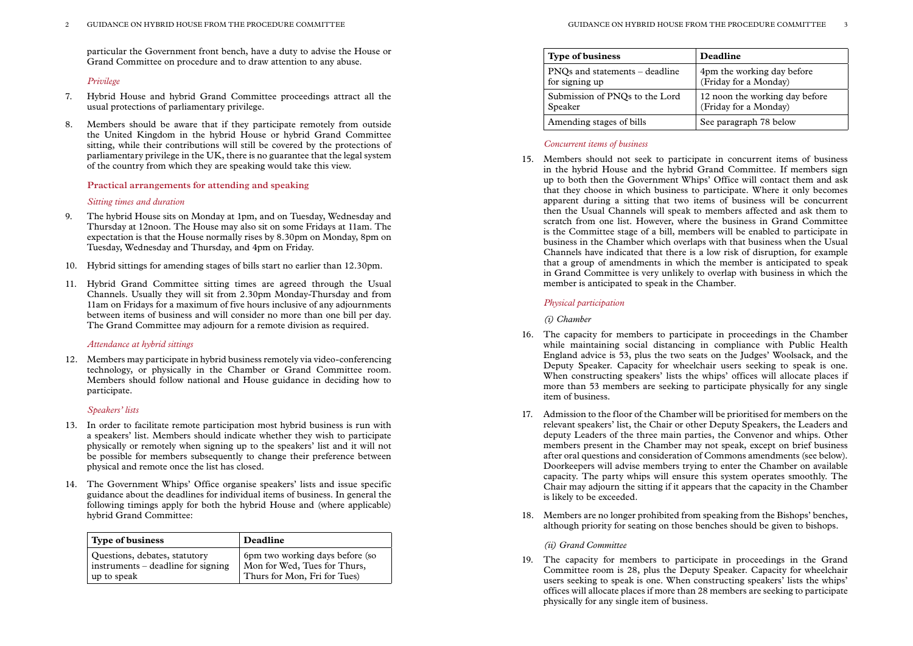| <b>Type of business</b>          | Deadline                       |
|----------------------------------|--------------------------------|
| $PNQs$ and statements – deadline | 4pm the working day before     |
| for signing up                   | (Friday for a Monday)          |
| Submission of PNQs to the Lord   | 12 noon the working day before |
| Speaker                          | (Friday for a Monday)          |
| Amending stages of bills         | See paragraph 78 below         |

### *Concurrent items of business*

15. Members should not seek to participate in concurrent items of business member is anticipated to speak in the Chamber.

in the hybrid House and the hybrid Grand Committee. If members sign up to both then the Government Whips' Office will contact them and ask that they choose in which business to participate. Where it only becomes apparent during a sitting that two items of business will be concurrent then the Usual Channels will speak to members affected and ask them to scratch from one list. However, where the business in Grand Committee is the Committee stage of a bill, members will be enabled to participate in business in the Chamber which overlaps with that business when the Usual Channels have indicated that there is a low risk of disruption, for example that a group of amendments in which the member is anticipated to speak in Grand Committee is very unlikely to overlap with business in which the

#### *Physical participation*

### *(i) Chamber*

while maintaining social distancing in compliance with Public Health England advice is 53, plus the two seats on the Judges' Woolsack, and the Deputy Speaker. Capacity for wheelchair users seeking to speak is one. When constructing speakers' lists the whips' offices will allocate places if more than 53 members are seeking to participate physically for any single

- 16. The capacity for members to participate in proceedings in the Chamber item of business.
- 17. Admission to the floor of the Chamber will be prioritised for members on the is likely to be exceeded.
- 18. Members are no longer prohibited from speaking from the Bishops' benches,

relevant speakers' list, the Chair or other Deputy Speakers, the Leaders and deputy Leaders of the three main parties, the Convenor and whips. Other members present in the Chamber may not speak, except on brief business after oral questions and consideration of Commons amendments (see below). Doorkeepers will advise members trying to enter the Chamber on available capacity. The party whips will ensure this system operates smoothly. The Chair may adjourn the sitting if it appears that the capacity in the Chamber

although priority for seating on those benches should be given to bishops.

#### *(ii) Grand Committee*

19. The capacity for members to participate in proceedings in the Grand physically for any single item of business.

Committee room is 28, plus the Deputy Speaker. Capacity for wheelchair users seeking to speak is one. When constructing speakers' lists the whips' offices will allocate places if more than 28 members are seeking to participate

particular the Government front bench, have a duty to advise the House or Grand Committee on procedure and to draw attention to any abuse.

#### *Privilege*

- 7. Hybrid House and hybrid Grand Committee proceedings attract all the usual protections of parliamentary privilege.
- Members should be aware that if they participate remotely from outside the United Kingdom in the hybrid House or hybrid Grand Committee sitting, while their contributions will still be covered by the protections of parliamentary privilege in the UK, there is no guarantee that the legal system of the country from which they are speaking would take this view.

#### **Practical arrangements for attending and speaking**

#### *Sitting times and duration*

- 9. The hybrid House sits on Monday at 1pm, and on Tuesday, Wednesday and Thursday at 12noon. The House may also sit on some Fridays at 11am. The expectation is that the House normally rises by 8.30pm on Monday, 8pm on Tuesday, Wednesday and Thursday, and 4pm on Friday.
- 10. Hybrid sittings for amending stages of bills start no earlier than 12.30pm.
- 11. Hybrid Grand Committee sitting times are agreed through the Usual Channels. Usually they will sit from 2.30pm Monday-Thursday and from 11am on Fridays for a maximum of five hours inclusive of any adjournments between items of business and will consider no more than one bill per day. The Grand Committee may adjourn for a remote division as required.

#### *Attendance at hybrid sittings*

12. Members may participate in hybrid business remotely via video-conferencing technology, or physically in the Chamber or Grand Committee room. Members should follow national and House guidance in deciding how to participate.

### *Speakers' lists*

- 13. In order to facilitate remote participation most hybrid business is run with a speakers' list. Members should indicate whether they wish to participate physically or remotely when signing up to the speakers' list and it will not be possible for members subsequently to change their preference between physical and remote once the list has closed.
- 14. The Government Whips' Office organise speakers' lists and issue specific guidance about the deadlines for individual items of business. In general the following timings apply for both the hybrid House and (where applicable) hybrid Grand Committee:

| <b>Type of business</b>               | Deadline                        |
|---------------------------------------|---------------------------------|
| Questions, debates, statutory         | 6pm two working days before (so |
| $in$ struments – deadline for signing | Mon for Wed, Tues for Thurs,    |
| up to speak                           | Thurs for Mon, Fri for Tues)    |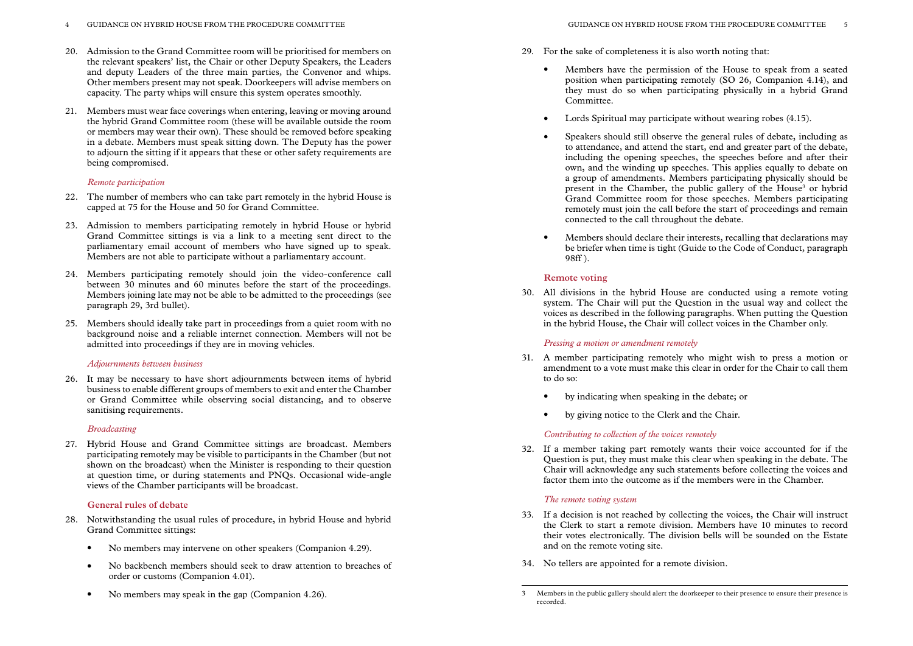• Members have the permission of the House to speak from a seated position when participating remotely (SO 26, Companion 4.14), and they must do so when participating physically in a hybrid Grand

- 29. For the sake of completeness it is also worth noting that:
	- Committee.
	- Lords Spiritual may participate without wearing robes (4.15).
	- connected to the call throughout the debate.
	- Members should declare their interests, recalling that declarations may 98ff ).

• Speakers should still observe the general rules of debate, including as to attendance, and attend the start, end and greater part of the debate, including the opening speeches, the speeches before and after their own, and the winding up speeches. This applies equally to debate on a group of amendments. Members participating physically should be present in the Chamber, the public gallery of the House<sup>3</sup> or hybrid Grand Committee room for those speeches. Members participating remotely must join the call before the start of proceedings and remain

- 31. A member participating remotely who might wish to press a motion or to do so:
	- by indicating when speaking in the debate; or
	- by giving notice to the Clerk and the Chair.

be briefer when time is tight (Guide to the Code of Conduct, paragraph

## **Remote voting**

30. All divisions in the hybrid House are conducted using a remote voting in the hybrid House, the Chair will collect voices in the Chamber only.

system. The Chair will put the Question in the usual way and collect the voices as described in the following paragraphs. When putting the Question

## *Pressing a motion or amendment remotely*

amendment to a vote must make this clear in order for the Chair to call them

## *Contributing to collection of the voices remotely*

32. If a member taking part remotely wants their voice accounted for if the factor them into the outcome as if the members were in the Chamber.

Question is put, they must make this clear when speaking in the debate. The Chair will acknowledge any such statements before collecting the voices and

## *The remote voting system*

- 33. If a decision is not reached by collecting the voices, the Chair will instruct and on the remote voting site.
- 34. No tellers are appointed for a remote division.

the Clerk to start a remote division. Members have 10 minutes to record their votes electronically. The division bells will be sounded on the Estate

- 28. Notwithstanding the usual rules of procedure, in hybrid House and hybrid Grand Committee sittings:
	- No members may intervene on other speakers (Companion 4.29).
	- No backbench members should seek to draw attention to breaches of order or customs (Companion 4.01).
	- No members may speak in the gap (Companion 4.26).

- 20. Admission to the Grand Committee room will be prioritised for members on the relevant speakers' list, the Chair or other Deputy Speakers, the Leaders and deputy Leaders of the three main parties, the Convenor and whips. Other members present may not speak. Doorkeepers will advise members on capacity. The party whips will ensure this system operates smoothly.
- 21. Members must wear face coverings when entering, leaving or moving around the hybrid Grand Committee room (these will be available outside the room or members may wear their own). These should be removed before speaking in a debate. Members must speak sitting down. The Deputy has the power to adjourn the sitting if it appears that these or other safety requirements are being compromised.

## *Remote participation*

- 22. The number of members who can take part remotely in the hybrid House is capped at 75 for the House and 50 for Grand Committee.
- 23. Admission to members participating remotely in hybrid House or hybrid Grand Committee sittings is via a link to a meeting sent direct to the parliamentary email account of members who have signed up to speak. Members are not able to participate without a parliamentary account.
- 24. Members participating remotely should join the video-conference call between 30 minutes and 60 minutes before the start of the proceedings. Members joining late may not be able to be admitted to the proceedings (see paragraph 29, 3rd bullet).
- 25. Members should ideally take part in proceedings from a quiet room with no background noise and a reliable internet connection. Members will not be admitted into proceedings if they are in moving vehicles.

## *Adjournments between business*

26. It may be necessary to have short adjournments between items of hybrid business to enable different groups of members to exit and enter the Chamber or Grand Committee while observing social distancing, and to observe sanitising requirements.

## *Broadcasting*

27. Hybrid House and Grand Committee sittings are broadcast. Members participating remotely may be visible to participants in the Chamber (but not shown on the broadcast) when the Minister is responding to their question at question time, or during statements and PNQs. Occasional wide-angle views of the Chamber participants will be broadcast.

## **General rules of debate**

<sup>3</sup> Members in the public gallery should alert the doorkeeper to their presence to ensure their presence is recorded.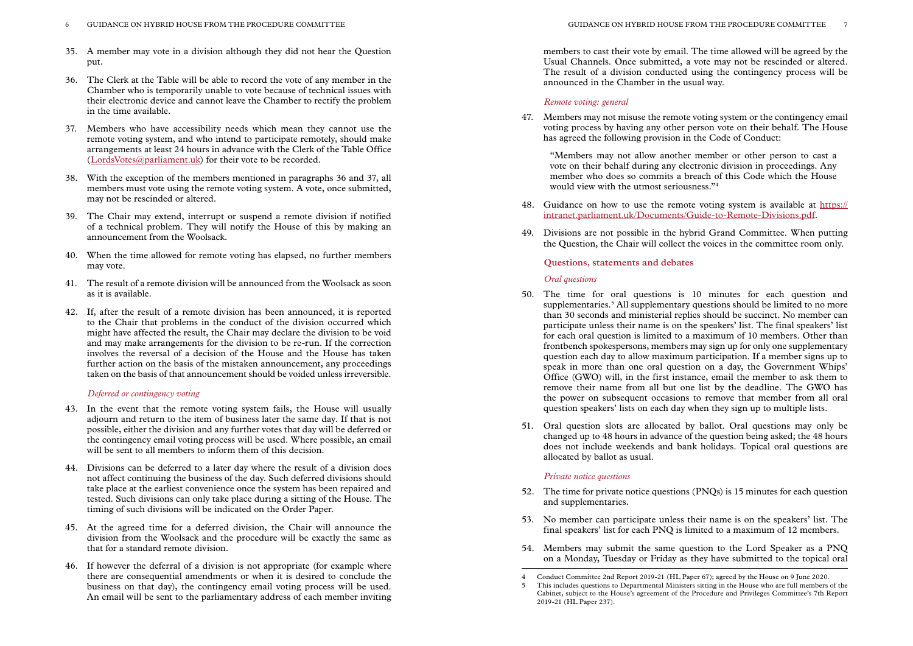members to cast their vote by email. The time allowed will be agreed by the Usual Channels. Once submitted, a vote may not be rescinded or altered. The result of a division conducted using the contingency process will be announced in the Chamber in the usual way.

#### *Remote voting: general*

47. Members may not misuse the remote voting system or the contingency email has agreed the following provision in the Code of Conduct:

voting process by having any other person vote on their behalf. The House

- 48. Guidance on how to use the remote voting system is available at https:// [intranet.parliament.uk/Documents/Guide-to-Remote-Divisions.pdf.](https://intranet.parliament.uk/Documents/Guide-to-Remote-Divisions.pdf)
- 49. Divisions are not possible in the hybrid Grand Committee. When putting

"Members may not allow another member or other person to cast a vote on their behalf during any electronic division in proceedings. Any member who does so commits a breach of this Code which the House would view with the utmost seriousness."4

supplementaries.<sup>5</sup> All supplementary questions should be limited to no more than 30 seconds and ministerial replies should be succinct. No member can participate unless their name is on the speakers' list. The final speakers' list for each oral question is limited to a maximum of 10 members. Other than frontbench spokespersons, members may sign up for only one supplementary question each day to allow maximum participation. If a member signs up to speak in more than one oral question on a day, the Government Whips' Office (GWO) will, in the first instance, email the member to ask them to remove their name from all but one list by the deadline. The GWO has the power on subsequent occasions to remove that member from all oral

the Question, the Chair will collect the voices in the committee room only.

### **Questions, statements and debates**

#### *Oral questions*

- 50. The time for oral questions is 10 minutes for each question and question speakers' lists on each day when they sign up to multiple lists.
- 51. Oral question slots are allocated by ballot. Oral questions may only be allocated by ballot as usual.

changed up to 48 hours in advance of the question being asked; the 48 hours does not include weekends and bank holidays. Topical oral questions are

### *Private notice questions*

- 52. The time for private notice questions (PNQs) is 15 minutes for each question and supplementaries.
- 53. No member can participate unless their name is on the speakers' list. The
- 54. Members may submit the same question to the Lord Speaker as a PNQ

final speakers' list for each PNQ is limited to a maximum of 12 members.

on a Monday, Tuesday or Friday as they have submitted to the topical oral

- 35. A member may vote in a division although they did not hear the Question put.
- 36. The Clerk at the Table will be able to record the vote of any member in the Chamber who is temporarily unable to vote because of technical issues with their electronic device and cannot leave the Chamber to rectify the problem in the time available.
- 37. Members who have accessibility needs which mean they cannot use the remote voting system, and who intend to participate remotely, should make arrangements at least 24 hours in advance with the Clerk of the Table Office [\(LordsVotes@parliament.uk\)](mailto:LordsVotes%40parliament.uk?subject=) for their vote to be recorded.
- 38. With the exception of the members mentioned in paragraphs 36 and 37, all members must vote using the remote voting system. A vote, once submitted, may not be rescinded or altered.
- 39. The Chair may extend, interrupt or suspend a remote division if notified of a technical problem. They will notify the House of this by making an announcement from the Woolsack.
- 40. When the time allowed for remote voting has elapsed, no further members may vote.
- 41. The result of a remote division will be announced from the Woolsack as soon as it is available.
- 42. If, after the result of a remote division has been announced, it is reported to the Chair that problems in the conduct of the division occurred which might have affected the result, the Chair may declare the division to be void and may make arrangements for the division to be re-run. If the correction involves the reversal of a decision of the House and the House has taken further action on the basis of the mistaken announcement, any proceedings taken on the basis of that announcement should be voided unless irreversible.

#### *Deferred or contingency voting*

- 43. In the event that the remote voting system fails, the House will usually adjourn and return to the item of business later the same day. If that is not possible, either the division and any further votes that day will be deferred or the contingency email voting process will be used. Where possible, an email will be sent to all members to inform them of this decision.
- 44. Divisions can be deferred to a later day where the result of a division does not affect continuing the business of the day. Such deferred divisions should take place at the earliest convenience once the system has been repaired and tested. Such divisions can only take place during a sitting of the House. The timing of such divisions will be indicated on the Order Paper.
- 45. At the agreed time for a deferred division, the Chair will announce the division from the Woolsack and the procedure will be exactly the same as that for a standard remote division.
- 46. If however the deferral of a division is not appropriate (for example where there are consequential amendments or when it is desired to conclude the business on that day), the contingency email voting process will be used. An email will be sent to the parliamentary address of each member inviting

<sup>4</sup> Conduct Committee 2nd Report 2019-21 (HL Paper 67); agreed by the House on 9 June 2020.

<sup>5</sup> This includes questions to Departmental Ministers sitting in the House who are full members of the Cabinet, subject to the House's agreement of the Procedure and Privileges Committee's 7th Report 2019-21 (HL Paper 237).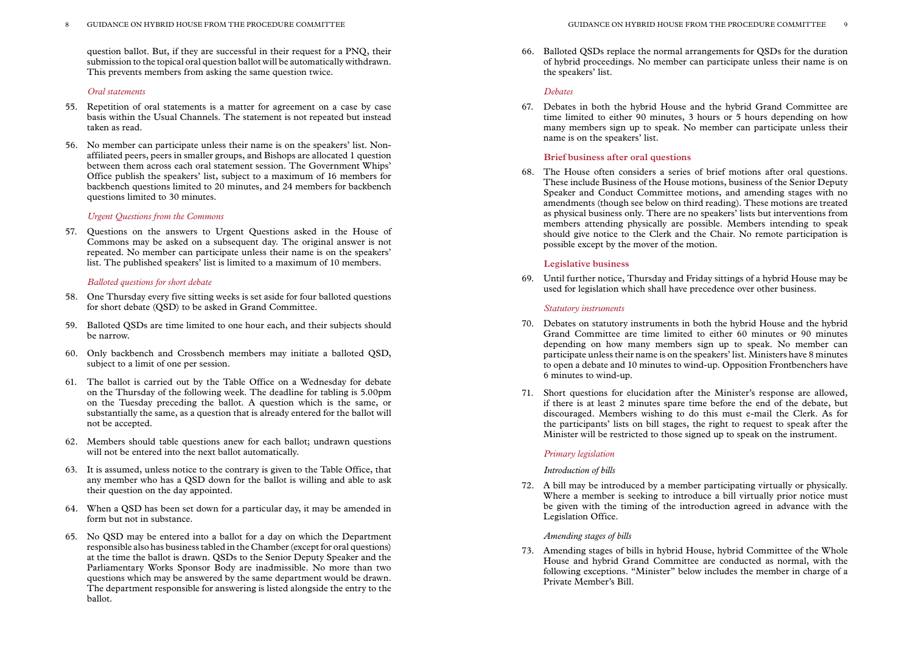66. Balloted QSDs replace the normal arrangements for QSDs for the duration the speakers' list.

of hybrid proceedings. No member can participate unless their name is on

#### *Debates*

67. Debates in both the hybrid House and the hybrid Grand Committee are name is on the speakers' list.

time limited to either 90 minutes, 3 hours or 5 hours depending on how many members sign up to speak. No member can participate unless their

## **Brief business after oral questions**

68. The House often considers a series of brief motions after oral questions. possible except by the mover of the motion.

These include Business of the House motions, business of the Senior Deputy Speaker and Conduct Committee motions, and amending stages with no amendments (though see below on third reading). These motions are treated as physical business only. There are no speakers' lists but interventions from members attending physically are possible. Members intending to speak should give notice to the Clerk and the Chair. No remote participation is

#### **Legislative business**

69. Until further notice, Thursday and Friday sittings of a hybrid House may be used for legislation which shall have precedence over other business.

#### *Statutory instruments*

Grand Committee are time limited to either 60 minutes or 90 minutes depending on how many members sign up to speak. No member can participate unless their name is on the speakers' list. Ministers have 8 minutes to open a debate and 10 minutes to wind-up. Opposition Frontbenchers have

- 70. Debates on statutory instruments in both the hybrid House and the hybrid 6 minutes to wind-up.
- 71. Short questions for elucidation after the Minister's response are allowed, Minister will be restricted to those signed up to speak on the instrument.

if there is at least 2 minutes spare time before the end of the debate, but discouraged. Members wishing to do this must e-mail the Clerk. As for the participants' lists on bill stages, the right to request to speak after the

## *Primary legislation*

#### *Introduction of bills*

72. A bill may be introduced by a member participating virtually or physically. Legislation Office.

Where a member is seeking to introduce a bill virtually prior notice must be given with the timing of the introduction agreed in advance with the

#### *Amending stages of bills*

73. Amending stages of bills in hybrid House, hybrid Committee of the Whole Private Member's Bill.

House and hybrid Grand Committee are conducted as normal, with the following exceptions. "Minister" below includes the member in charge of a

question ballot. But, if they are successful in their request for a PNQ, their submission to the topical oral question ballot will be automatically withdrawn. This prevents members from asking the same question twice.

#### *Oral statements*

- 55. Repetition of oral statements is a matter for agreement on a case by case basis within the Usual Channels. The statement is not repeated but instead taken as read.
- 56. No member can participate unless their name is on the speakers' list. Nonaffiliated peers, peers in smaller groups, and Bishops are allocated 1 question between them across each oral statement session. The Government Whips' Office publish the speakers' list, subject to a maximum of 16 members for backbench questions limited to 20 minutes, and 24 members for backbench questions limited to 30 minutes.

#### *Urgent Questions from the Commons*

57. Questions on the answers to Urgent Questions asked in the House of Commons may be asked on a subsequent day. The original answer is not repeated. No member can participate unless their name is on the speakers' list. The published speakers' list is limited to a maximum of 10 members.

#### *Balloted questions for short debate*

- 58. One Thursday every five sitting weeks is set aside for four balloted questions for short debate (QSD) to be asked in Grand Committee.
- 59. Balloted QSDs are time limited to one hour each, and their subjects should be narrow.
- 60. Only backbench and Crossbench members may initiate a balloted QSD, subject to a limit of one per session.
- 61. The ballot is carried out by the Table Office on a Wednesday for debate on the Thursday of the following week. The deadline for tabling is 5.00pm on the Tuesday preceding the ballot. A question which is the same, or substantially the same, as a question that is already entered for the ballot will not be accepted.
- 62. Members should table questions anew for each ballot; undrawn questions will not be entered into the next ballot automatically.
- 63. It is assumed, unless notice to the contrary is given to the Table Office, that any member who has a QSD down for the ballot is willing and able to ask their question on the day appointed.
- 64. When a QSD has been set down for a particular day, it may be amended in form but not in substance.
- 65. No QSD may be entered into a ballot for a day on which the Department responsible also has business tabled in the Chamber (except for oral questions) at the time the ballot is drawn. QSDs to the Senior Deputy Speaker and the Parliamentary Works Sponsor Body are inadmissible. No more than two questions which may be answered by the same department would be drawn. The department responsible for answering is listed alongside the entry to the ballot.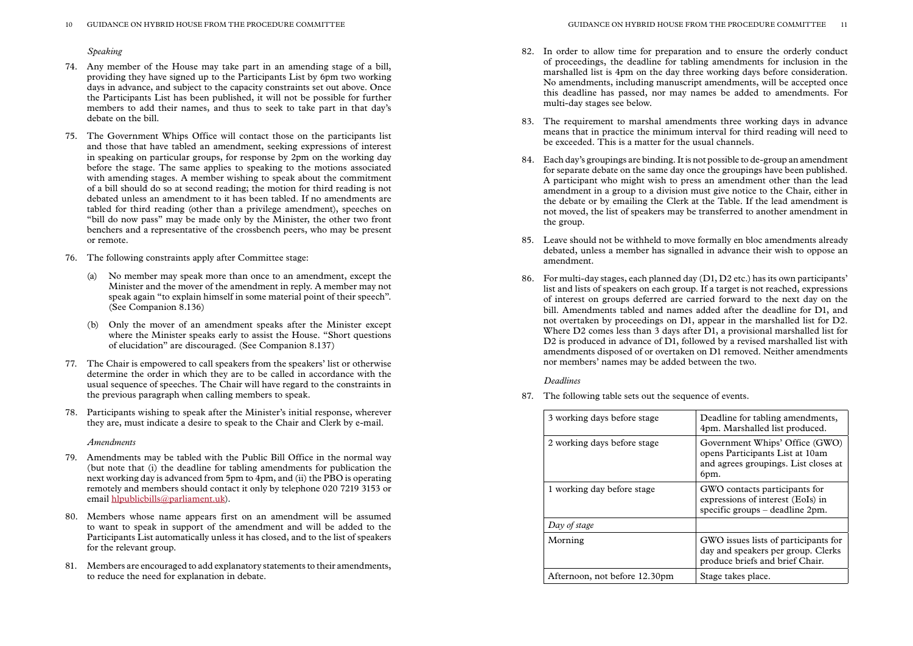of proceedings, the deadline for tabling amendments for inclusion in the marshalled list is 4pm on the day three working days before consideration. No amendments, including manuscript amendments, will be accepted once this deadline has passed, nor may names be added to amendments. For

means that in practice the minimum interval for third reading will need to

for separate debate on the same day once the groupings have been published. A participant who might wish to press an amendment other than the lead amendment in a group to a division must give notice to the Chair, either in the debate or by emailing the Clerk at the Table. If the lead amendment is not moved, the list of speakers may be transferred to another amendment in

- 82. In order to allow time for preparation and to ensure the orderly conduct multi-day stages see below.
- 83. The requirement to marshal amendments three working days in advance be exceeded. This is a matter for the usual channels.
- 84. Each day's groupings are binding. It is not possible to de-group an amendment the group.
- 85. Leave should not be withheld to move formally en bloc amendments already amendment.
- 86. For multi-day stages, each planned day (D1, D2 etc.) has its own participants' nor members' names may be added between the two.

debated, unless a member has signalled in advance their wish to oppose an

list and lists of speakers on each group. If a target is not reached, expressions of interest on groups deferred are carried forward to the next day on the bill. Amendments tabled and names added after the deadline for D1, and not overtaken by proceedings on D1, appear in the marshalled list for D2. Where D2 comes less than 3 days after D1, a provisional marshalled list for D2 is produced in advance of D1, followed by a revised marshalled list with amendments disposed of or overtaken on D1 removed. Neither amendments

#### *Deadlines*

87. The following table sets out the sequence of events.

| 3 working days before stage   | Deadline for tabling amendmen<br>4pm. Marshalled list produced.                                             |
|-------------------------------|-------------------------------------------------------------------------------------------------------------|
| 2 working days before stage   | Government Whips' Office (G)<br>opens Participants List at 10am<br>and agrees groupings. List close<br>6pm. |
| 1 working day before stage    | GWO contacts participants for<br>expressions of interest (EoIs) in<br>specific groups $-$ deadline $2pm$    |
| Day of stage                  |                                                                                                             |
| Morning                       | GWO issues lists of participants<br>day and speakers per group. Clo<br>produce briefs and brief Chair.      |
| Afternoon, not before 12.30pm | Stage takes place.                                                                                          |

| 3 working days before stage   | Deadline for tabling amendments,<br>4pm. Marshalled list produced.                                                |
|-------------------------------|-------------------------------------------------------------------------------------------------------------------|
| 2 working days before stage   | Government Whips' Office (GWO)<br>opens Participants List at 10am<br>and agrees groupings. List closes at<br>6pm. |
| 1 working day before stage    | GWO contacts participants for<br>expressions of interest (EoIs) in<br>specific groups $-$ deadline 2pm.           |
| Day of stage                  |                                                                                                                   |
| Morning                       | GWO issues lists of participants for<br>day and speakers per group. Clerks<br>produce briefs and brief Chair.     |
| Afternoon, not before 12.30pm | Stage takes place.                                                                                                |
|                               |                                                                                                                   |

#### *Speaking*

- 74. Any member of the House may take part in an amending stage of a bill, providing they have signed up to the Participants List by 6pm two working days in advance, and subject to the capacity constraints set out above. Once the Participants List has been published, it will not be possible for further members to add their names, and thus to seek to take part in that day's debate on the bill.
- 75. The Government Whips Office will contact those on the participants list and those that have tabled an amendment, seeking expressions of interest in speaking on particular groups, for response by 2pm on the working day before the stage. The same applies to speaking to the motions associated with amending stages. A member wishing to speak about the commitment of a bill should do so at second reading; the motion for third reading is not debated unless an amendment to it has been tabled. If no amendments are tabled for third reading (other than a privilege amendment), speeches on "bill do now pass" may be made only by the Minister, the other two front benchers and a representative of the crossbench peers, who may be present or remote.
- 76. The following constraints apply after Committee stage:
	- (a) No member may speak more than once to an amendment, except the Minister and the mover of the amendment in reply. A member may not speak again "to explain himself in some material point of their speech". (See Companion 8.136)
	- (b) Only the mover of an amendment speaks after the Minister except where the Minister speaks early to assist the House. "Short questions" of elucidation" are discouraged. (See Companion 8.137)
- 77. The Chair is empowered to call speakers from the speakers' list or otherwise determine the order in which they are to be called in accordance with the usual sequence of speeches. The Chair will have regard to the constraints in the previous paragraph when calling members to speak.
- 78. Participants wishing to speak after the Minister's initial response, wherever they are, must indicate a desire to speak to the Chair and Clerk by e-mail.

#### *Amendments*

- 79. Amendments may be tabled with the Public Bill Office in the normal way (but note that (i) the deadline for tabling amendments for publication the next working day is advanced from 5pm to 4pm, and (ii) the PBO is operating remotely and members should contact it only by telephone 020 7219 3153 or email [hlpublicbills@parliament.uk](mailto:hlpublicbills%40parliament.uk?subject=)).
- 80. Members whose name appears first on an amendment will be assumed to want to speak in support of the amendment and will be added to the Participants List automatically unless it has closed, and to the list of speakers for the relevant group.
- 81. Members are encouraged to add explanatory statements to their amendments, to reduce the need for explanation in debate.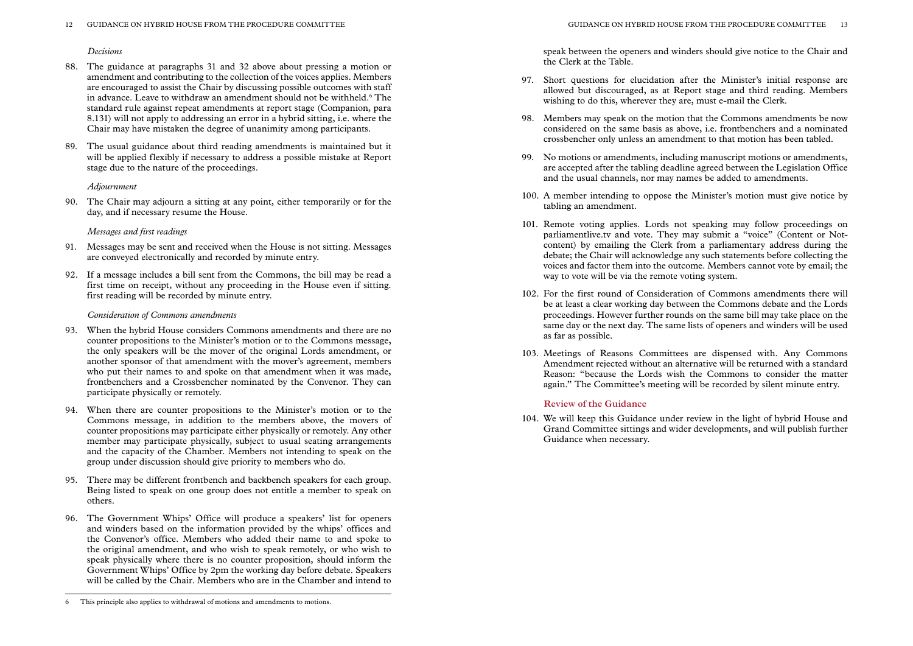speak between the openers and winders should give notice to the Chair and the Clerk at the Table.

allowed but discouraged, as at Report stage and third reading. Members

considered on the same basis as above, i.e. frontbenchers and a nominated

are accepted after the tabling deadline agreed between the Legislation Office

- 97. Short questions for elucidation after the Minister's initial response are wishing to do this, wherever they are, must e-mail the Clerk.
- 98. Members may speak on the motion that the Commons amendments be now crossbencher only unless an amendment to that motion has been tabled.
- 99. No motions or amendments, including manuscript motions or amendments, and the usual channels, nor may names be added to amendments.
- 100. A member intending to oppose the Minister's motion must give notice by tabling an amendment.
- 101. Remote voting applies. Lords not speaking may follow proceedings on way to vote will be via the remote voting system.
- 102. For the first round of Consideration of Commons amendments there will as far as possible.
- 103. Meetings of Reasons Committees are dispensed with. Any Commons

parliamentlive.tv and vote. They may submit a "voice" (Content or Notcontent) by emailing the Clerk from a parliamentary address during the debate; the Chair will acknowledge any such statements before collecting the voices and factor them into the outcome. Members cannot vote by email; the

be at least a clear working day between the Commons debate and the Lords proceedings. However further rounds on the same bill may take place on the same day or the next day. The same lists of openers and winders will be used

Amendment rejected without an alternative will be returned with a standard Reason: "because the Lords wish the Commons to consider the matter again." The Committee's meeting will be recorded by silent minute entry.

## **Review of the Guidance**

104. We will keep this Guidance under review in the light of hybrid House and Guidance when necessary.

Grand Committee sittings and wider developments, and will publish further

#### *Decisions*

- 88. The guidance at paragraphs 31 and 32 above about pressing a motion or amendment and contributing to the collection of the voices applies. Members are encouraged to assist the Chair by discussing possible outcomes with staff in advance. Leave to withdraw an amendment should not be withheld.6 The standard rule against repeat amendments at report stage (Companion, para 8.131) will not apply to addressing an error in a hybrid sitting, i.e. where the Chair may have mistaken the degree of unanimity among participants.
- 89. The usual guidance about third reading amendments is maintained but it will be applied flexibly if necessary to address a possible mistake at Report stage due to the nature of the proceedings.

### *Adjournment*

90. The Chair may adjourn a sitting at any point, either temporarily or for the day, and if necessary resume the House.

### *Messages and first readings*

- 91. Messages may be sent and received when the House is not sitting. Messages are conveyed electronically and recorded by minute entry.
- 92. If a message includes a bill sent from the Commons, the bill may be read a first time on receipt, without any proceeding in the House even if sitting. first reading will be recorded by minute entry.

## *Consideration of Commons amendments*

- 93. When the hybrid House considers Commons amendments and there are no counter propositions to the Minister's motion or to the Commons message, the only speakers will be the mover of the original Lords amendment, or another sponsor of that amendment with the mover's agreement, members who put their names to and spoke on that amendment when it was made, frontbenchers and a Crossbencher nominated by the Convenor. They can participate physically or remotely.
- 94. When there are counter propositions to the Minister's motion or to the Commons message, in addition to the members above, the movers of counter propositions may participate either physically or remotely. Any other member may participate physically, subject to usual seating arrangements and the capacity of the Chamber. Members not intending to speak on the group under discussion should give priority to members who do.
- 95. There may be different frontbench and backbench speakers for each group. Being listed to speak on one group does not entitle a member to speak on others.
- 96. The Government Whips' Office will produce a speakers' list for openers and winders based on the information provided by the whips' offices and the Convenor's office. Members who added their name to and spoke to the original amendment, and who wish to speak remotely, or who wish to speak physically where there is no counter proposition, should inform the Government Whips' Office by 2pm the working day before debate. Speakers will be called by the Chair. Members who are in the Chamber and intend to

<sup>6</sup> This principle also applies to withdrawal of motions and amendments to motions.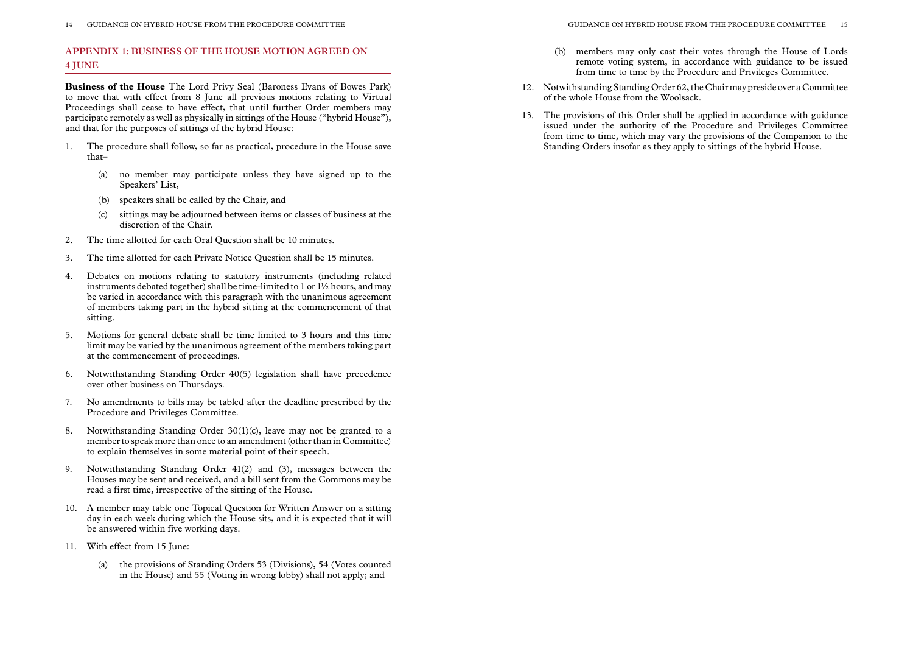(b) members may only cast their votes through the House of Lords remote voting system, in accordance with guidance to be issued from time to time by the Procedure and Privileges Committee.

- 
- 12. Notwithstanding Standing Order 62, the Chair may preside over a Committee of the whole House from the Woolsack.
- 13. The provisions of this Order shall be applied in accordance with guidance Standing Orders insofar as they apply to sittings of the hybrid House.

issued under the authority of the Procedure and Privileges Committee from time to time, which may vary the provisions of the Companion to the

# **APPENDIX 1: BUSINESS OF THE HOUSE MOTION AGREED ON 4 JUNE**

**Business of the House** The Lord Privy Seal (Baroness Evans of Bowes Park) to move that with effect from 8 June all previous motions relating to Virtual Proceedings shall cease to have effect, that until further Order members may participate remotely as well as physically in sittings of the House ("hybrid House"), and that for the purposes of sittings of the hybrid House:

- 1. The procedure shall follow, so far as practical, procedure in the House save that–
	- (a) no member may participate unless they have signed up to the Speakers' List,
	- (b) speakers shall be called by the Chair, and
	- (c) sittings may be adjourned between items or classes of business at the discretion of the Chair.
- 2. The time allotted for each Oral Question shall be 10 minutes.
- 3. The time allotted for each Private Notice Question shall be 15 minutes.
- 4. Debates on motions relating to statutory instruments (including related instruments debated together) shall be time-limited to 1 or  $1/2$  hours, and may be varied in accordance with this paragraph with the unanimous agreement of members taking part in the hybrid sitting at the commencement of that sitting.
- 5. Motions for general debate shall be time limited to 3 hours and this time limit may be varied by the unanimous agreement of the members taking part at the commencement of proceedings.
- 6. Notwithstanding Standing Order 40(5) legislation shall have precedence over other business on Thursdays.
- 7. No amendments to bills may be tabled after the deadline prescribed by the Procedure and Privileges Committee.
- Notwithstanding Standing Order  $30(1)(c)$ , leave may not be granted to a member to speak more than once to an amendment (other than in Committee) to explain themselves in some material point of their speech.
- 9. Notwithstanding Standing Order 41(2) and (3), messages between the Houses may be sent and received, and a bill sent from the Commons may be read a first time, irrespective of the sitting of the House.
- 10. A member may table one Topical Question for Written Answer on a sitting day in each week during which the House sits, and it is expected that it will be answered within five working days.
- 11. With effect from 15 June:
	- (a) the provisions of Standing Orders 53 (Divisions), 54 (Votes counted in the House) and 55 (Voting in wrong lobby) shall not apply; and